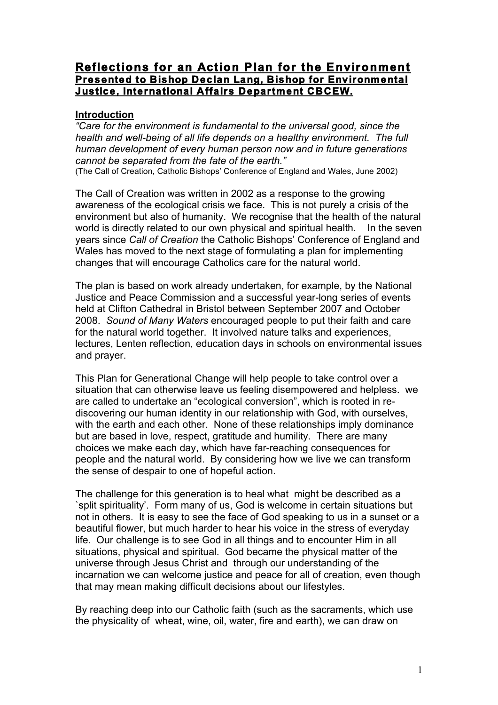# **Reflections for an Action Plan for the Environment Presented to Bishop Declan Lang, Bishop for Environmental Justice, International Affairs Department CBCEW.**

#### **Introduction**

*"Care for the environment is fundamental to the universal good, since the health and well-being of all life depends on a healthy environment. The full human development of every human person now and in future generations cannot be separated from the fate of the earth."*

(The Call of Creation, Catholic Bishops' Conference of England and Wales, June 2002)

The Call of Creation was written in 2002 as a response to the growing awareness of the ecological crisis we face. This is not purely a crisis of the environment but also of humanity. We recognise that the health of the natural world is directly related to our own physical and spiritual health. In the seven years since *Call of Creation* the Catholic Bishops' Conference of England and Wales has moved to the next stage of formulating a plan for implementing changes that will encourage Catholics care for the natural world.

The plan is based on work already undertaken, for example, by the National Justice and Peace Commission and a successful year-long series of events held at Clifton Cathedral in Bristol between September 2007 and October 2008. *Sound of Many Waters* encouraged people to put their faith and care for the natural world together. It involved nature talks and experiences, lectures, Lenten reflection, education days in schools on environmental issues and prayer.

This Plan for Generational Change will help people to take control over a situation that can otherwise leave us feeling disempowered and helpless. we are called to undertake an "ecological conversion", which is rooted in rediscovering our human identity in our relationship with God, with ourselves, with the earth and each other. None of these relationships imply dominance but are based in love, respect, gratitude and humility. There are many choices we make each day, which have far-reaching consequences for people and the natural world. By considering how we live we can transform the sense of despair to one of hopeful action.

The challenge for this generation is to heal what might be described as a `split spirituality'. Form many of us, God is welcome in certain situations but not in others. It is easy to see the face of God speaking to us in a sunset or a beautiful flower, but much harder to hear his voice in the stress of everyday life. Our challenge is to see God in all things and to encounter Him in all situations, physical and spiritual. God became the physical matter of the universe through Jesus Christ and through our understanding of the incarnation we can welcome justice and peace for all of creation, even though that may mean making difficult decisions about our lifestyles.

By reaching deep into our Catholic faith (such as the sacraments, which use the physicality of wheat, wine, oil, water, fire and earth), we can draw on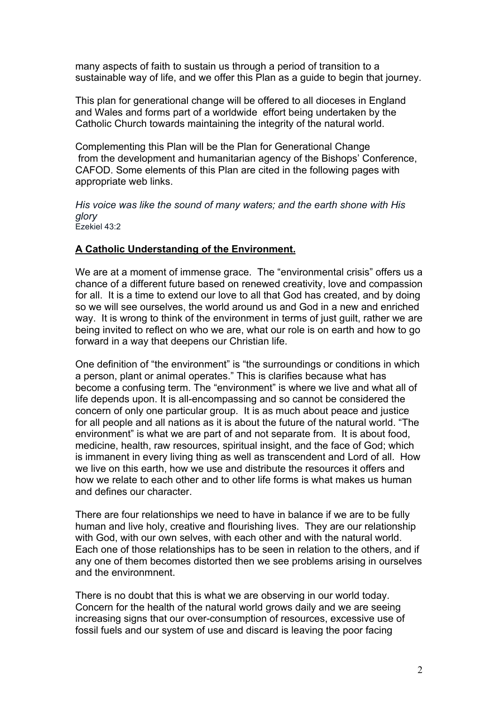many aspects of faith to sustain us through a period of transition to a sustainable way of life, and we offer this Plan as a guide to begin that journey.

This plan for generational change will be offered to all dioceses in England and Wales and forms part of a worldwide effort being undertaken by the Catholic Church towards maintaining the integrity of the natural world.

Complementing this Plan will be the Plan for Generational Change from the development and humanitarian agency of the Bishops' Conference, CAFOD. Some elements of this Plan are cited in the following pages with appropriate web links.

*His voice was like the sound of many waters; and the earth shone with His glory* Ezekiel 43:2

#### **A Catholic Understanding of the Environment.**

We are at a moment of immense grace. The "environmental crisis" offers us a chance of a different future based on renewed creativity, love and compassion for all. It is a time to extend our love to all that God has created, and by doing so we will see ourselves, the world around us and God in a new and enriched way. It is wrong to think of the environment in terms of just guilt, rather we are being invited to reflect on who we are, what our role is on earth and how to go forward in a way that deepens our Christian life.

One definition of "the environment" is "the surroundings or conditions in which a person, plant or animal operates." This is clarifies because what has become a confusing term. The "environment" is where we live and what all of life depends upon. It is all-encompassing and so cannot be considered the concern of only one particular group. It is as much about peace and justice for all people and all nations as it is about the future of the natural world. "The environment" is what we are part of and not separate from. It is about food, medicine, health, raw resources, spiritual insight, and the face of God; which is immanent in every living thing as well as transcendent and Lord of all. How we live on this earth, how we use and distribute the resources it offers and how we relate to each other and to other life forms is what makes us human and defines our character.

There are four relationships we need to have in balance if we are to be fully human and live holy, creative and flourishing lives. They are our relationship with God, with our own selves, with each other and with the natural world. Each one of those relationships has to be seen in relation to the others, and if any one of them becomes distorted then we see problems arising in ourselves and the environmnent.

There is no doubt that this is what we are observing in our world today. Concern for the health of the natural world grows daily and we are seeing increasing signs that our over-consumption of resources, excessive use of fossil fuels and our system of use and discard is leaving the poor facing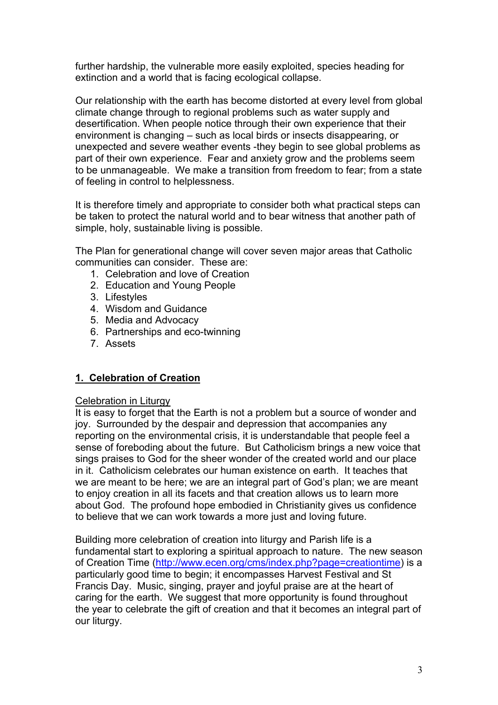further hardship, the vulnerable more easily exploited, species heading for extinction and a world that is facing ecological collapse.

Our relationship with the earth has become distorted at every level from global climate change through to regional problems such as water supply and desertification. When people notice through their own experience that their environment is changing – such as local birds or insects disappearing, or unexpected and severe weather events -they begin to see global problems as part of their own experience. Fear and anxiety grow and the problems seem to be unmanageable. We make a transition from freedom to fear; from a state of feeling in control to helplessness.

It is therefore timely and appropriate to consider both what practical steps can be taken to protect the natural world and to bear witness that another path of simple, holy, sustainable living is possible.

The Plan for generational change will cover seven major areas that Catholic communities can consider. These are:

- 1. Celebration and love of Creation
- 2. Education and Young People
- 3. Lifestyles
- 4. Wisdom and Guidance
- 5. Media and Advocacy
- 6. Partnerships and eco-twinning
- 7. Assets

### **1. Celebration of Creation**

#### Celebration in Liturgy

It is easy to forget that the Earth is not a problem but a source of wonder and joy. Surrounded by the despair and depression that accompanies any reporting on the environmental crisis, it is understandable that people feel a sense of foreboding about the future. But Catholicism brings a new voice that sings praises to God for the sheer wonder of the created world and our place in it. Catholicism celebrates our human existence on earth. It teaches that we are meant to be here; we are an integral part of God's plan; we are meant to enjoy creation in all its facets and that creation allows us to learn more about God. The profound hope embodied in Christianity gives us confidence to believe that we can work towards a more just and loving future.

Building more celebration of creation into liturgy and Parish life is a fundamental start to exploring a spiritual approach to nature. The new season of Creation Time (http://www.ecen.org/cms/index.php?page=creationtime) is a particularly good time to begin; it encompasses Harvest Festival and St Francis Day. Music, singing, prayer and joyful praise are at the heart of caring for the earth. We suggest that more opportunity is found throughout the year to celebrate the gift of creation and that it becomes an integral part of our liturgy.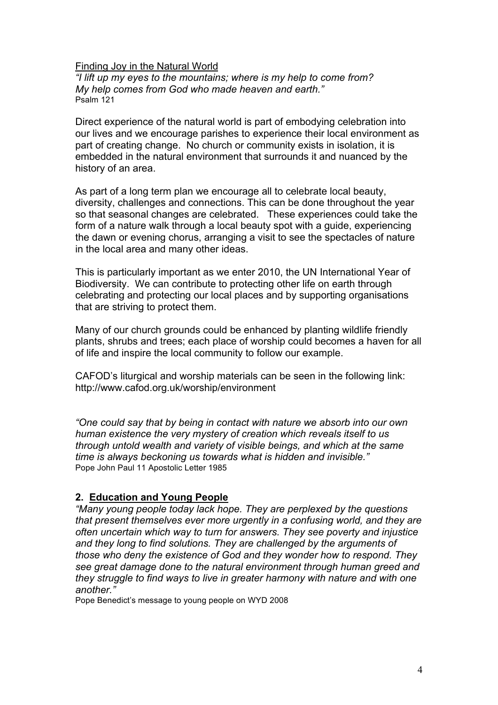Finding Joy in the Natural World

*"I lift up my eyes to the mountains; where is my help to come from? My help comes from God who made heaven and earth."* Psalm 121

Direct experience of the natural world is part of embodying celebration into our lives and we encourage parishes to experience their local environment as part of creating change. No church or community exists in isolation, it is embedded in the natural environment that surrounds it and nuanced by the history of an area.

As part of a long term plan we encourage all to celebrate local beauty, diversity, challenges and connections. This can be done throughout the year so that seasonal changes are celebrated. These experiences could take the form of a nature walk through a local beauty spot with a guide, experiencing the dawn or evening chorus, arranging a visit to see the spectacles of nature in the local area and many other ideas.

This is particularly important as we enter 2010, the UN International Year of Biodiversity. We can contribute to protecting other life on earth through celebrating and protecting our local places and by supporting organisations that are striving to protect them.

Many of our church grounds could be enhanced by planting wildlife friendly plants, shrubs and trees; each place of worship could becomes a haven for all of life and inspire the local community to follow our example.

CAFOD's liturgical and worship materials can be seen in the following link: http://www.cafod.org.uk/worship/environment

*"One could say that by being in contact with nature we absorb into our own human existence the very mystery of creation which reveals itself to us through untold wealth and variety of visible beings, and which at the same time is always beckoning us towards what is hidden and invisible."*  Pope John Paul 11 Apostolic Letter 1985

# **2. Education and Young People**

*"Many young people today lack hope. They are perplexed by the questions that present themselves ever more urgently in a confusing world, and they are often uncertain which way to turn for answers. They see poverty and injustice and they long to find solutions. They are challenged by the arguments of those who deny the existence of God and they wonder how to respond. They see great damage done to the natural environment through human greed and they struggle to find ways to live in greater harmony with nature and with one another."* 

Pope Benedict's message to young people on WYD 2008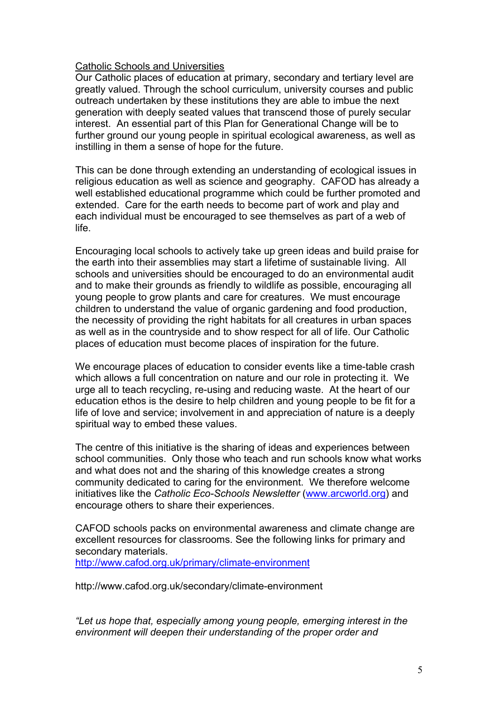#### Catholic Schools and Universities

Our Catholic places of education at primary, secondary and tertiary level are greatly valued. Through the school curriculum, university courses and public outreach undertaken by these institutions they are able to imbue the next generation with deeply seated values that transcend those of purely secular interest. An essential part of this Plan for Generational Change will be to further ground our young people in spiritual ecological awareness, as well as instilling in them a sense of hope for the future.

This can be done through extending an understanding of ecological issues in religious education as well as science and geography. CAFOD has already a well established educational programme which could be further promoted and extended. Care for the earth needs to become part of work and play and each individual must be encouraged to see themselves as part of a web of life.

Encouraging local schools to actively take up green ideas and build praise for the earth into their assemblies may start a lifetime of sustainable living. All schools and universities should be encouraged to do an environmental audit and to make their grounds as friendly to wildlife as possible, encouraging all young people to grow plants and care for creatures. We must encourage children to understand the value of organic gardening and food production, the necessity of providing the right habitats for all creatures in urban spaces as well as in the countryside and to show respect for all of life. Our Catholic places of education must become places of inspiration for the future.

We encourage places of education to consider events like a time-table crash which allows a full concentration on nature and our role in protecting it. We urge all to teach recycling, re-using and reducing waste. At the heart of our education ethos is the desire to help children and young people to be fit for a life of love and service; involvement in and appreciation of nature is a deeply spiritual way to embed these values.

The centre of this initiative is the sharing of ideas and experiences between school communities. Only those who teach and run schools know what works and what does not and the sharing of this knowledge creates a strong community dedicated to caring for the environment. We therefore welcome initiatives like the *Catholic Eco-Schools Newsletter* (www.arcworld.org) and encourage others to share their experiences.

CAFOD schools packs on environmental awareness and climate change are excellent resources for classrooms. See the following links for primary and secondary materials.

http://www.cafod.org.uk/primary/climate-environment

http://www.cafod.org.uk/secondary/climate-environment

*"Let us hope that, especially among young people, emerging interest in the environment will deepen their understanding of the proper order and*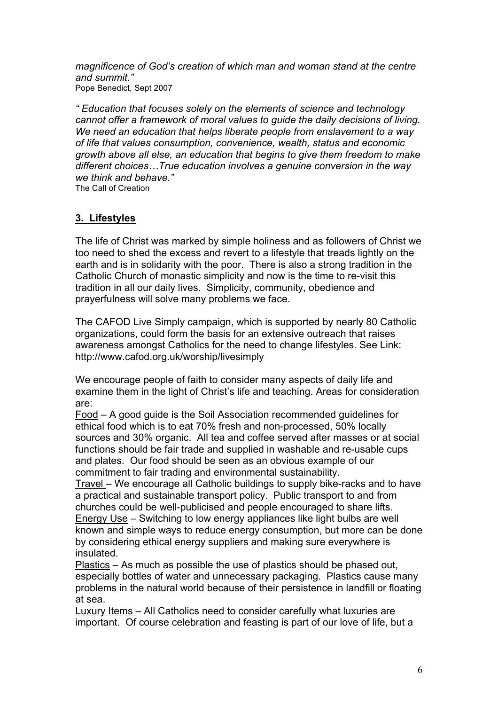*magnificence of God's creation of which man and woman stand at the centre and summit."*  Pope Benedict, Sept 2007

*" Education that focuses solely on the elements of science and technology cannot offer a framework of moral values to guide the daily decisions of living. We need an education that helps liberate people from enslavement to a way of life that values consumption, convenience, wealth, status and economic growth above all else, an education that begins to give them freedom to make different choices…True education involves a genuine conversion in the way we think and behave."* 

The Call of Creation

# **3. Lifestyles**

The life of Christ was marked by simple holiness and as followers of Christ we too need to shed the excess and revert to a lifestyle that treads lightly on the earth and is in solidarity with the poor. There is also a strong tradition in the Catholic Church of monastic simplicity and now is the time to re-visit this tradition in all our daily lives. Simplicity, community, obedience and prayerfulness will solve many problems we face.

The CAFOD Live Simply campaign, which is supported by nearly 80 Catholic organizations, could form the basis for an extensive outreach that raises awareness amongst Catholics for the need to change lifestyles. See Link: http://www.cafod.org.uk/worship/livesimply

We encourage people of faith to consider many aspects of daily life and examine them in the light of Christ's life and teaching. Areas for consideration are:

Food – A good guide is the Soil Association recommended guidelines for ethical food which is to eat 70% fresh and non-processed, 50% locally sources and 30% organic. All tea and coffee served after masses or at social functions should be fair trade and supplied in washable and re-usable cups and plates. Our food should be seen as an obvious example of our commitment to fair trading and environmental sustainability.

Travel – We encourage all Catholic buildings to supply bike-racks and to have a practical and sustainable transport policy. Public transport to and from churches could be well-publicised and people encouraged to share lifts. Energy Use – Switching to low energy appliances like light bulbs are well known and simple ways to reduce energy consumption, but more can be done by considering ethical energy suppliers and making sure everywhere is insulated.

Plastics – As much as possible the use of plastics should be phased out, especially bottles of water and unnecessary packaging. Plastics cause many problems in the natural world because of their persistence in landfill or floating at sea.

Luxury Items – All Catholics need to consider carefully what luxuries are important. Of course celebration and feasting is part of our love of life, but a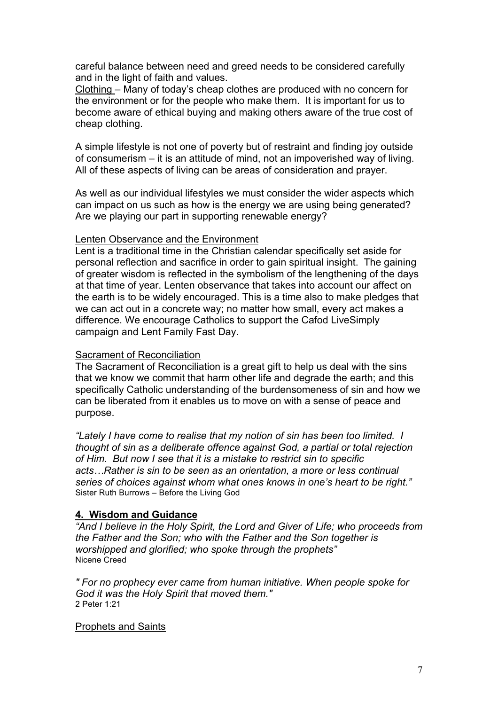careful balance between need and greed needs to be considered carefully and in the light of faith and values.

Clothing – Many of today's cheap clothes are produced with no concern for the environment or for the people who make them. It is important for us to become aware of ethical buying and making others aware of the true cost of cheap clothing.

A simple lifestyle is not one of poverty but of restraint and finding joy outside of consumerism – it is an attitude of mind, not an impoverished way of living. All of these aspects of living can be areas of consideration and prayer.

As well as our individual lifestyles we must consider the wider aspects which can impact on us such as how is the energy we are using being generated? Are we playing our part in supporting renewable energy?

#### Lenten Observance and the Environment

Lent is a traditional time in the Christian calendar specifically set aside for personal reflection and sacrifice in order to gain spiritual insight. The gaining of greater wisdom is reflected in the symbolism of the lengthening of the days at that time of year. Lenten observance that takes into account our affect on the earth is to be widely encouraged. This is a time also to make pledges that we can act out in a concrete way; no matter how small, every act makes a difference. We encourage Catholics to support the Cafod LiveSimply campaign and Lent Family Fast Day.

## **Sacrament of Reconciliation**

The Sacrament of Reconciliation is a great gift to help us deal with the sins that we know we commit that harm other life and degrade the earth; and this specifically Catholic understanding of the burdensomeness of sin and how we can be liberated from it enables us to move on with a sense of peace and purpose.

*"Lately I have come to realise that my notion of sin has been too limited. I thought of sin as a deliberate offence against God, a partial or total rejection of Him. But now I see that it is a mistake to restrict sin to specific acts…Rather is sin to be seen as an orientation, a more or less continual series of choices against whom what ones knows in one's heart to be right."* Sister Ruth Burrows – Before the Living God

## **4. Wisdom and Guidance**

*"And I believe in the Holy Spirit, the Lord and Giver of Life; who proceeds from the Father and the Son; who with the Father and the Son together is worshipped and glorified; who spoke through the prophets"*  Nicene Creed

*" For no prophecy ever came from human initiative. When people spoke for God it was the Holy Spirit that moved them."*  2 Peter 1:21

#### Prophets and Saints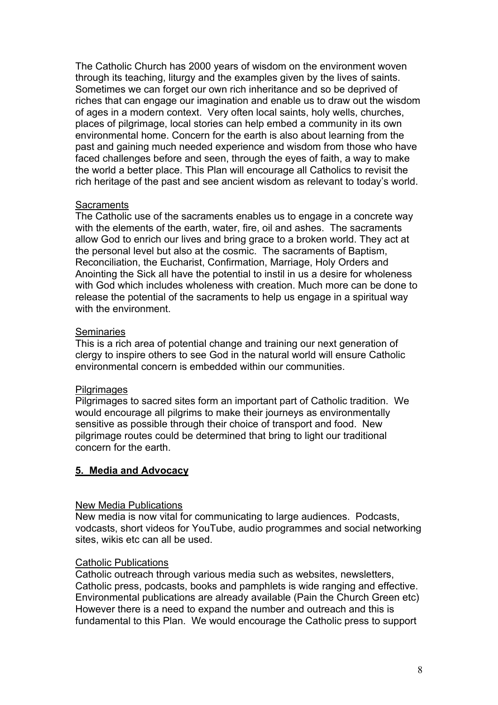The Catholic Church has 2000 years of wisdom on the environment woven through its teaching, liturgy and the examples given by the lives of saints. Sometimes we can forget our own rich inheritance and so be deprived of riches that can engage our imagination and enable us to draw out the wisdom of ages in a modern context. Very often local saints, holy wells, churches, places of pilgrimage, local stories can help embed a community in its own environmental home. Concern for the earth is also about learning from the past and gaining much needed experience and wisdom from those who have faced challenges before and seen, through the eyes of faith, a way to make the world a better place. This Plan will encourage all Catholics to revisit the rich heritage of the past and see ancient wisdom as relevant to today's world.

#### **Sacraments**

The Catholic use of the sacraments enables us to engage in a concrete way with the elements of the earth, water, fire, oil and ashes. The sacraments allow God to enrich our lives and bring grace to a broken world. They act at the personal level but also at the cosmic. The sacraments of Baptism, Reconciliation, the Eucharist, Confirmation, Marriage, Holy Orders and Anointing the Sick all have the potential to instil in us a desire for wholeness with God which includes wholeness with creation. Much more can be done to release the potential of the sacraments to help us engage in a spiritual way with the environment

#### **Seminaries**

This is a rich area of potential change and training our next generation of clergy to inspire others to see God in the natural world will ensure Catholic environmental concern is embedded within our communities.

### **Pilgrimages**

Pilgrimages to sacred sites form an important part of Catholic tradition. We would encourage all pilgrims to make their journeys as environmentally sensitive as possible through their choice of transport and food. New pilgrimage routes could be determined that bring to light our traditional concern for the earth.

### **5. Media and Advocacy**

#### New Media Publications

New media is now vital for communicating to large audiences. Podcasts, vodcasts, short videos for YouTube, audio programmes and social networking sites, wikis etc can all be used.

### Catholic Publications

Catholic outreach through various media such as websites, newsletters, Catholic press, podcasts, books and pamphlets is wide ranging and effective. Environmental publications are already available (Pain the Church Green etc) However there is a need to expand the number and outreach and this is fundamental to this Plan. We would encourage the Catholic press to support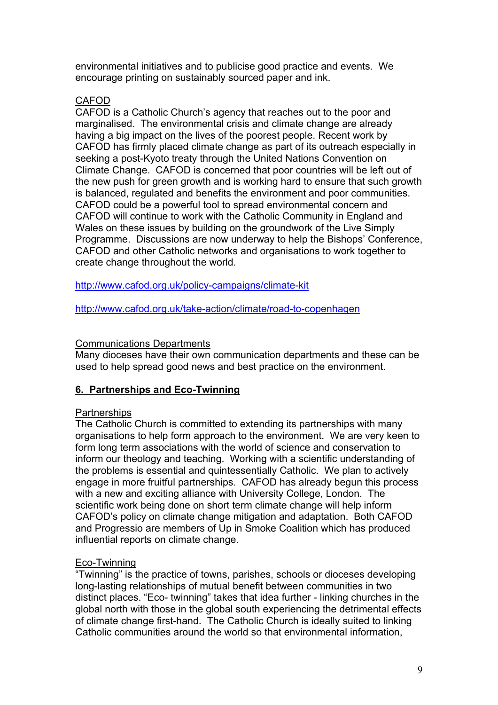environmental initiatives and to publicise good practice and events. We encourage printing on sustainably sourced paper and ink.

# CAFOD

CAFOD is a Catholic Church's agency that reaches out to the poor and marginalised. The environmental crisis and climate change are already having a big impact on the lives of the poorest people. Recent work by CAFOD has firmly placed climate change as part of its outreach especially in seeking a post-Kyoto treaty through the United Nations Convention on Climate Change. CAFOD is concerned that poor countries will be left out of the new push for green growth and is working hard to ensure that such growth is balanced, regulated and benefits the environment and poor communities. CAFOD could be a powerful tool to spread environmental concern and CAFOD will continue to work with the Catholic Community in England and Wales on these issues by building on the groundwork of the Live Simply Programme. Discussions are now underway to help the Bishops' Conference, CAFOD and other Catholic networks and organisations to work together to create change throughout the world.

http://www.cafod.org.uk/policy-campaigns/climate-kit

http://www.cafod.org.uk/take-action/climate/road-to-copenhagen

## Communications Departments

Many dioceses have their own communication departments and these can be used to help spread good news and best practice on the environment.

# **6. Partnerships and Eco-Twinning**

# Partnerships

The Catholic Church is committed to extending its partnerships with many organisations to help form approach to the environment. We are very keen to form long term associations with the world of science and conservation to inform our theology and teaching. Working with a scientific understanding of the problems is essential and quintessentially Catholic. We plan to actively engage in more fruitful partnerships. CAFOD has already begun this process with a new and exciting alliance with University College, London. The scientific work being done on short term climate change will help inform CAFOD's policy on climate change mitigation and adaptation. Both CAFOD and Progressio are members of Up in Smoke Coalition which has produced influential reports on climate change.

# Eco-Twinning

"Twinning" is the practice of towns, parishes, schools or dioceses developing long-lasting relationships of mutual benefit between communities in two distinct places. "Eco- twinning" takes that idea further - linking churches in the global north with those in the global south experiencing the detrimental effects of climate change first-hand. The Catholic Church is ideally suited to linking Catholic communities around the world so that environmental information,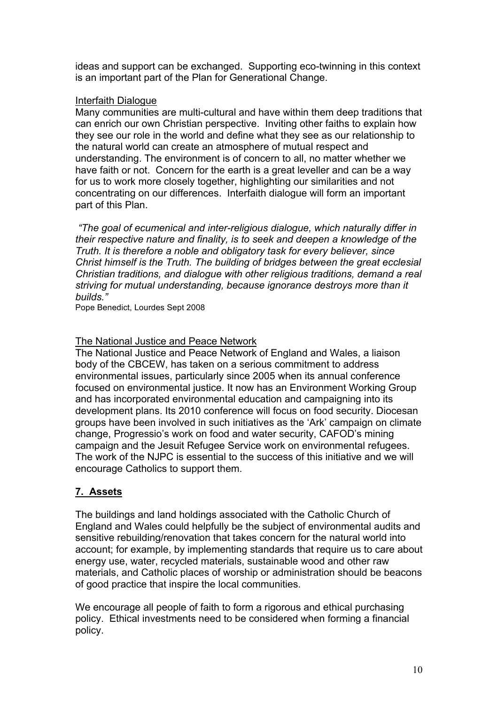ideas and support can be exchanged. Supporting eco-twinning in this context is an important part of the Plan for Generational Change.

## Interfaith Dialogue

Many communities are multi-cultural and have within them deep traditions that can enrich our own Christian perspective. Inviting other faiths to explain how they see our role in the world and define what they see as our relationship to the natural world can create an atmosphere of mutual respect and understanding. The environment is of concern to all, no matter whether we have faith or not. Concern for the earth is a great leveller and can be a way for us to work more closely together, highlighting our similarities and not concentrating on our differences. Interfaith dialogue will form an important part of this Plan.

 *"The goal of ecumenical and inter-religious dialogue, which naturally differ in their respective nature and finality, is to seek and deepen a knowledge of the Truth. It is therefore a noble and obligatory task for every believer, since Christ himself is the Truth. The building of bridges between the great ecclesial Christian traditions, and dialogue with other religious traditions, demand a real striving for mutual understanding, because ignorance destroys more than it builds."* 

Pope Benedict, Lourdes Sept 2008

# The National Justice and Peace Network

The National Justice and Peace Network of England and Wales, a liaison body of the CBCEW, has taken on a serious commitment to address environmental issues, particularly since 2005 when its annual conference focused on environmental justice. It now has an Environment Working Group and has incorporated environmental education and campaigning into its development plans. Its 2010 conference will focus on food security. Diocesan groups have been involved in such initiatives as the 'Ark' campaign on climate change, Progressio's work on food and water security, CAFOD's mining campaign and the Jesuit Refugee Service work on environmental refugees. The work of the NJPC is essential to the success of this initiative and we will encourage Catholics to support them.

# **7. Assets**

The buildings and land holdings associated with the Catholic Church of England and Wales could helpfully be the subject of environmental audits and sensitive rebuilding/renovation that takes concern for the natural world into account; for example, by implementing standards that require us to care about energy use, water, recycled materials, sustainable wood and other raw materials, and Catholic places of worship or administration should be beacons of good practice that inspire the local communities.

We encourage all people of faith to form a rigorous and ethical purchasing policy. Ethical investments need to be considered when forming a financial policy.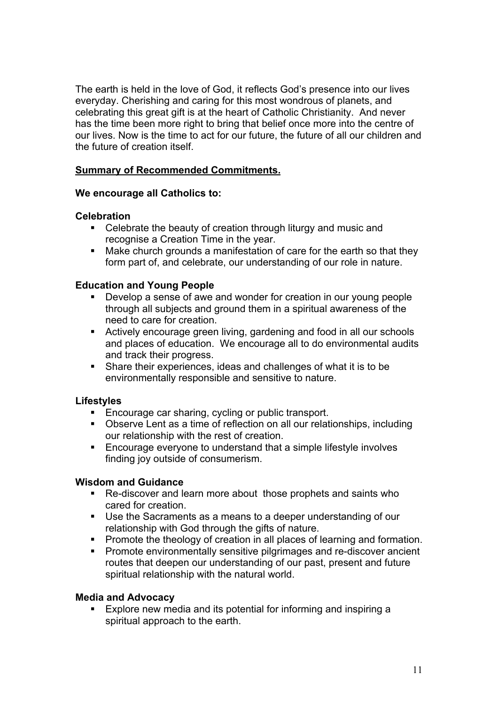The earth is held in the love of God, it reflects God's presence into our lives everyday. Cherishing and caring for this most wondrous of planets, and celebrating this great gift is at the heart of Catholic Christianity. And never has the time been more right to bring that belief once more into the centre of our lives. Now is the time to act for our future, the future of all our children and the future of creation itself.

# **Summary of Recommended Commitments.**

### **We encourage all Catholics to:**

### **Celebration**

- Celebrate the beauty of creation through liturgy and music and recognise a Creation Time in the year.
- Make church grounds a manifestation of care for the earth so that they form part of, and celebrate, our understanding of our role in nature.

## **Education and Young People**

- Develop a sense of awe and wonder for creation in our young people through all subjects and ground them in a spiritual awareness of the need to care for creation.
- Actively encourage green living, gardening and food in all our schools and places of education. We encourage all to do environmental audits and track their progress.
- Share their experiences, ideas and challenges of what it is to be environmentally responsible and sensitive to nature.

# **Lifestyles**

- Encourage car sharing, cycling or public transport.
- Observe Lent as a time of reflection on all our relationships, including our relationship with the rest of creation.
- **Encourage everyone to understand that a simple lifestyle involves** finding joy outside of consumerism.

### **Wisdom and Guidance**

- Re-discover and learn more about those prophets and saints who cared for creation.
- Use the Sacraments as a means to a deeper understanding of our relationship with God through the gifts of nature.
- **Promote the theology of creation in all places of learning and formation.**
- Promote environmentally sensitive pilgrimages and re-discover ancient routes that deepen our understanding of our past, present and future spiritual relationship with the natural world.

### **Media and Advocacy**

 Explore new media and its potential for informing and inspiring a spiritual approach to the earth.